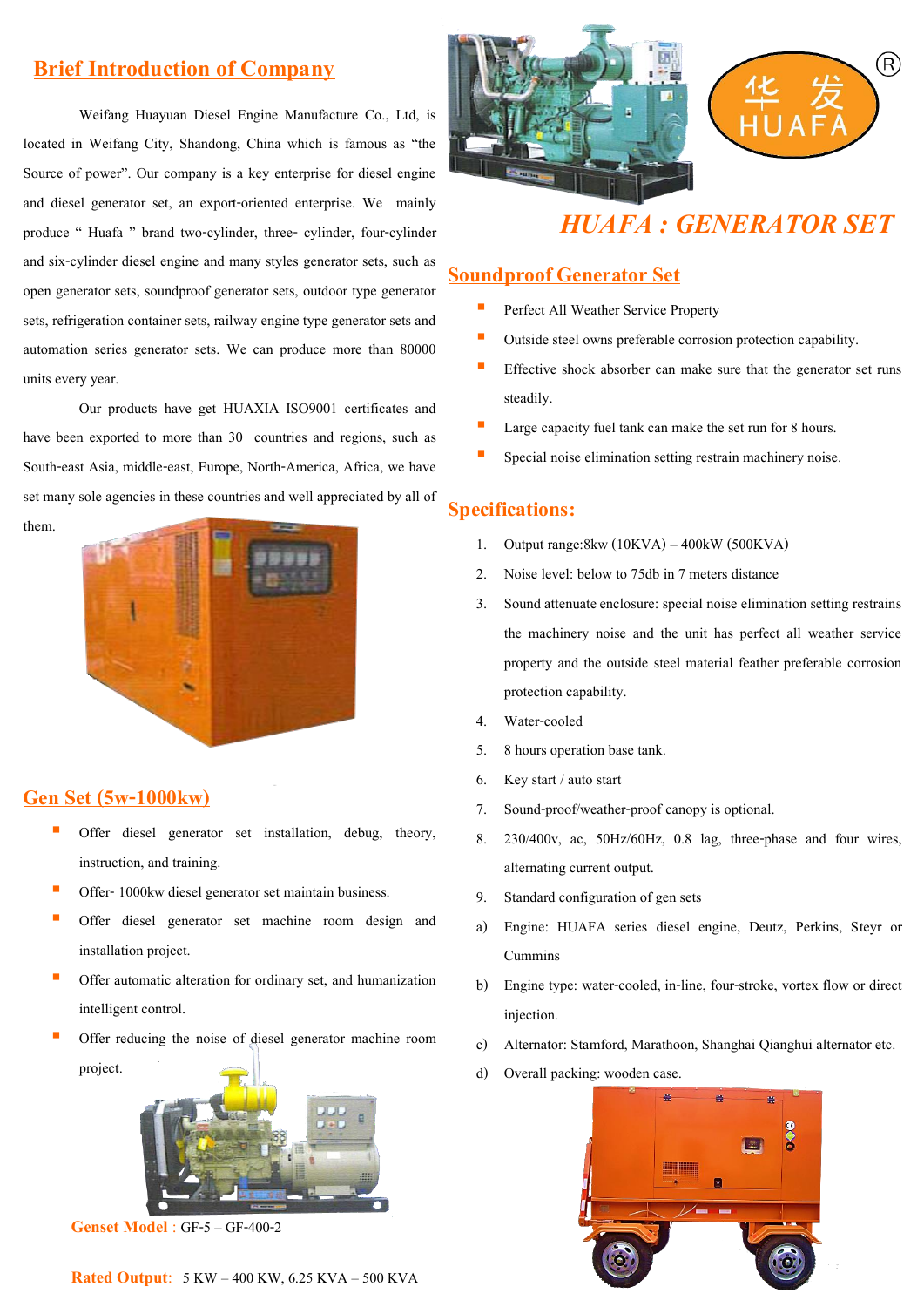## **Brief Introduction of Company**

Weifang Huayuan Diesel Engine Manufacture Co., Ltd, is located in Weifang City, Shandong, China which is famous as "the Source of power". Our company is a key enterprise for diesel engine and diesel generator set, an export-oriented enterprise. We mainly produce " Huafa " brand two-cylinder, three- cylinder, four-cylinder and six-cylinder diesel engine and many styles generator sets, such as open generator sets, soundproof generator sets, outdoor type generator sets, refrigeration container sets, railway engine type generator sets and automation series generator sets. We can produce more than 80000 units every year.

Our products have get HUAXIA ISO9001 certificates and have been exported to more than 30 countries and regions, such as South-east Asia, middle-east, Europe, North-America, Africa, we have set many sole agencies in these countries and well appreciated by all of them.



### **Gen Set (5w-1000kw)**

- Offer diesel generator set installation, debug, theory, instruction, and training.
- Offer- 1000kw diesel generator set maintain business.
- Offer diesel generator set machine room design and installation project.
- Offer automatic alteration for ordinary set, and humanization intelligent control.
- Offer reducing the noise of diesel generator machine room project.



**Genset Model** : GF-5 – GF-400-2





# *HUAFA : GENERATOR SET*

#### **Soundproof Generator Set**

- Perfect All Weather Service Property
- Outside steel owns preferable corrosion protection capability.
- Effective shock absorber can make sure that the generator set runs steadily.
- Large capacity fuel tank can make the set run for 8 hours.
- Special noise elimination setting restrain machinery noise.

### **Specifications:**

- 1. Output range:8kw (10KVA) 400kW (500KVA)
- 2. Noise level: below to 75db in 7 meters distance
- 3. Sound attenuate enclosure: special noise elimination setting restrains the machinery noise and the unit has perfect all weather service property and the outside steel material feather preferable corrosion protection capability.
- 4. Water-cooled
- 5. 8 hours operation base tank.
- 6. Key start / auto start
- 7. Sound-proof/weather-proof canopy is optional.
- 8. 230/400v, ac, 50Hz/60Hz, 0.8 lag, three-phase and four wires, alternating current output.
- 9. Standard configuration of gen sets
- a) Engine: HUAFA series diesel engine, Deutz, Perkins, Steyr or Cummins
- b) Engine type: water-cooled, in-line, four-stroke, vortex flow or direct injection.
- c) Alternator: Stamford, Marathoon, Shanghai Qianghui alternator etc.
- d) Overall packing: wooden case.